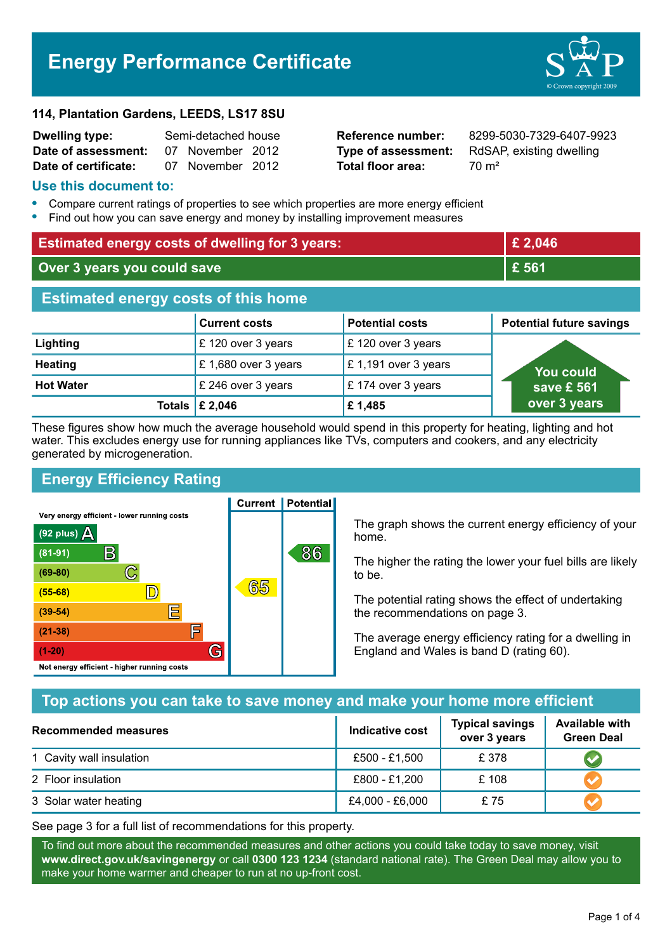# **Energy Performance Certificate**

#### **114, Plantation Gardens, LEEDS, LS17 8SU**

| <b>Dwelling type:</b> | Semi-detached house |                  |  |
|-----------------------|---------------------|------------------|--|
| Date of assessment:   |                     | 07 November 2012 |  |
| Date of certificate:  |                     | 07 November 2012 |  |

**Total floor area:** 70 m<sup>2</sup>

**Reference number:** 8299-5030-7329-6407-9923 **Type of assessment:** RdSAP, existing dwelling

#### **Use this document to:**

- **•** Compare current ratings of properties to see which properties are more energy efficient
- **•** Find out how you can save energy and money by installing improvement measures

| <b>Estimated energy costs of dwelling for 3 years:</b> |                      |                        | £ 2,046                         |  |
|--------------------------------------------------------|----------------------|------------------------|---------------------------------|--|
| Over 3 years you could save                            |                      | £ 561                  |                                 |  |
| <b>Estimated energy costs of this home</b>             |                      |                        |                                 |  |
|                                                        | <b>Current costs</b> | <b>Potential costs</b> | <b>Potential future savings</b> |  |
| Lighting                                               | £120 over 3 years    | £120 over 3 years      |                                 |  |
| <b>Heating</b>                                         | £1,680 over 3 years  | £1,191 over 3 years    | <u>You</u> could                |  |
| <b>Hot Water</b>                                       | £ 246 over 3 years   | £174 over 3 years      | save £ 561                      |  |
| Totals                                                 | £ 2,046              | £1,485                 | over 3 years                    |  |

These figures show how much the average household would spend in this property for heating, lighting and hot water. This excludes energy use for running appliances like TVs, computers and cookers, and any electricity generated by microgeneration.

**Current | Potential** 

## **Energy Efficiency Rating**

Very energy efficient - lower running costs



The graph shows the current energy efficiency of your home.

The higher the rating the lower your fuel bills are likely to be.

The potential rating shows the effect of undertaking the recommendations on page 3.

The average energy efficiency rating for a dwelling in England and Wales is band D (rating 60).

## **Top actions you can take to save money and make your home more efficient**

| Recommended measures     | Indicative cost | <b>Typical savings</b><br>over 3 years | <b>Available with</b><br><b>Green Deal</b> |
|--------------------------|-----------------|----------------------------------------|--------------------------------------------|
| 1 Cavity wall insulation | £500 - £1,500   | £ 378                                  |                                            |
| 2 Floor insulation       | £800 - £1,200   | £108                                   |                                            |
| 3 Solar water heating    | £4,000 - £6,000 | £75                                    |                                            |

See page 3 for a full list of recommendations for this property.

To find out more about the recommended measures and other actions you could take today to save money, visit **www.direct.gov.uk/savingenergy** or call **0300 123 1234** (standard national rate). The Green Deal may allow you to make your home warmer and cheaper to run at no up-front cost.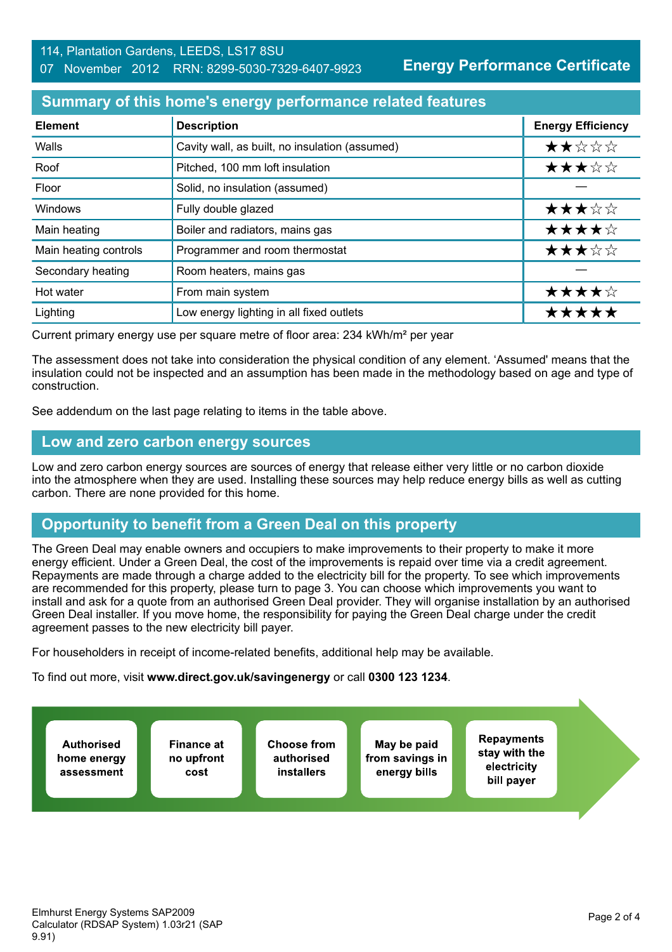**Energy Performance Certificate**

## **Summary of this home's energy performance related features**

| <b>Element</b>        | <b>Description</b>                             | <b>Energy Efficiency</b> |
|-----------------------|------------------------------------------------|--------------------------|
| Walls                 | Cavity wall, as built, no insulation (assumed) | ★★☆☆☆                    |
| Roof                  | Pitched, 100 mm loft insulation                | ★★★☆☆                    |
| Floor                 | Solid, no insulation (assumed)                 |                          |
| Windows               | Fully double glazed                            | ★★★☆☆                    |
| Main heating          | Boiler and radiators, mains gas                | ★★★★☆                    |
| Main heating controls | Programmer and room thermostat                 | ★★★☆☆                    |
| Secondary heating     | Room heaters, mains gas                        |                          |
| Hot water             | From main system                               | ★★★★☆                    |
| Lighting              | Low energy lighting in all fixed outlets       | *****                    |

Current primary energy use per square metre of floor area: 234 kWh/m² per year

The assessment does not take into consideration the physical condition of any element. 'Assumed' means that the insulation could not be inspected and an assumption has been made in the methodology based on age and type of construction.

See addendum on the last page relating to items in the table above.

#### **Low and zero carbon energy sources**

Low and zero carbon energy sources are sources of energy that release either very little or no carbon dioxide into the atmosphere when they are used. Installing these sources may help reduce energy bills as well as cutting carbon. There are none provided for this home.

## **Opportunity to benefit from a Green Deal on this property**

The Green Deal may enable owners and occupiers to make improvements to their property to make it more energy efficient. Under a Green Deal, the cost of the improvements is repaid over time via a credit agreement. Repayments are made through a charge added to the electricity bill for the property. To see which improvements are recommended for this property, please turn to page 3. You can choose which improvements you want to install and ask for a quote from an authorised Green Deal provider. They will organise installation by an authorised Green Deal installer. If you move home, the responsibility for paying the Green Deal charge under the credit agreement passes to the new electricity bill payer.

For householders in receipt of income-related benefits, additional help may be available.

To find out more, visit **www.direct.gov.uk/savingenergy** or call **0300 123 1234**.

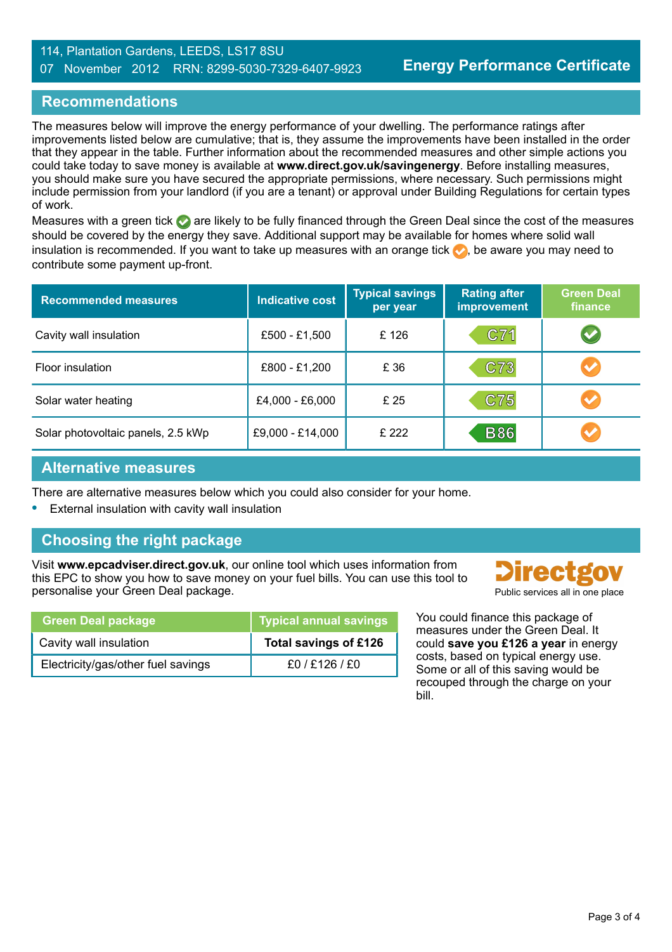#### 114, Plantation Gardens, LEEDS, LS17 8SU 07 November 2012 RRN: 8299-5030-7329-6407-9923

## **Recommendations**

The measures below will improve the energy performance of your dwelling. The performance ratings after improvements listed below are cumulative; that is, they assume the improvements have been installed in the order that they appear in the table. Further information about the recommended measures and other simple actions you could take today to save money is available at **www.direct.gov.uk/savingenergy**. Before installing measures, you should make sure you have secured the appropriate permissions, where necessary. Such permissions might include permission from your landlord (if you are a tenant) or approval under Building Regulations for certain types of work.

Measures with a green tick  $\bullet$  are likely to be fully financed through the Green Deal since the cost of the measures should be covered by the energy they save. Additional support may be available for homes where solid wall insulation is recommended. If you want to take up measures with an orange tick  $\bullet$ , be aware you may need to contribute some payment up-front.

| <b>Recommended measures</b>        | <b>Indicative cost</b> | <b>Typical savings</b><br>per year | <b>Rating after</b><br><b>improvement</b> | <b>Green Deal</b><br>finance |
|------------------------------------|------------------------|------------------------------------|-------------------------------------------|------------------------------|
| Cavity wall insulation             | £500 - £1,500          | £126                               | C71                                       | $\blacktriangledown$         |
| Floor insulation                   | £800 - £1,200          | £ 36                               | C73                                       |                              |
| Solar water heating                | £4,000 - £6,000        | £ 25                               | C75                                       |                              |
| Solar photovoltaic panels, 2.5 kWp | £9,000 - £14,000       | £ 222                              | <b>B86</b>                                |                              |

#### **Alternative measures**

There are alternative measures below which you could also consider for your home.

**•** External insulation with cavity wall insulation

## **Choosing the right package**

Visit **www.epcadviser.direct.gov.uk**, our online tool which uses information from this EPC to show you how to save money on your fuel bills. You can use this tool to personalise your Green Deal package. **Public services all in one place** part of the place of the place of the place

| <b>Green Deal package</b>          | <b>Typical annual savings</b> |
|------------------------------------|-------------------------------|
| Cavity wall insulation             | Total savings of £126         |
| Electricity/gas/other fuel savings | f0/F126/F0                    |

**Directgov** 

You could finance this package of measures under the Green Deal. It could **save you £126 a year** in energy costs, based on typical energy use. Some or all of this saving would be recouped through the charge on your bill.